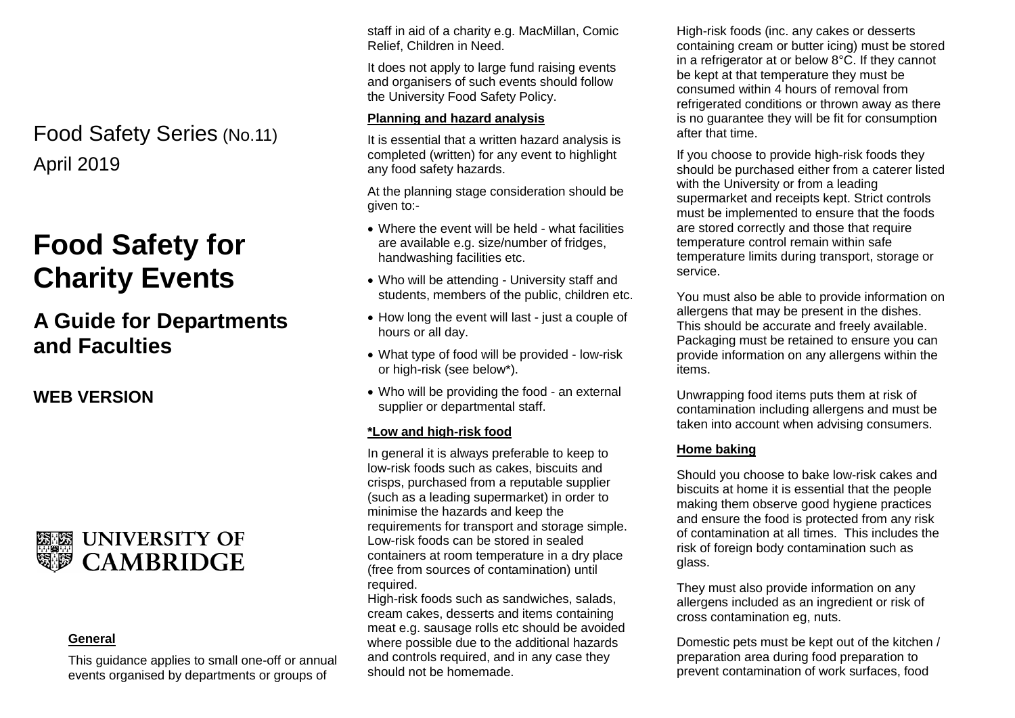# April 2019 Food Safety Series (No.11)

# **Food Safety for Charity Events**

## **A Guide for Departments and Faculties**

**WEB VERSION**



#### **General**

This guidance applies to small one-off or annual events organised by departments or groups of

staff in aid of a charity e.g. MacMillan, Comic Relief, Children in Need.

It does not apply to large fund raising events and organisers of such events should follow the University Food Safety Policy.

### **Planning and hazard analysis**

It is essential that a written hazard analysis is completed (written) for any event to highlight any food safety hazards.

At the planning stage consideration should be given to:-

- Where the event will be held what facilities are available e.g. size/number of fridges, handwashing facilities etc.
- Who will be attending University staff and students, members of the public, children etc.
- How long the event will last just a couple of hours or all day.
- What type of food will be provided low-risk or high-risk (see below\*).
- Who will be providing the food an external supplier or departmental staff.

## **\*Low and high-risk food**

In general it is always preferable to keep to low-risk foods such as cakes, biscuits and crisps, purchased from a reputable supplier (such as a leading supermarket) in order to minimise the hazards and keep the requirements for transport and storage simple. Low-risk foods can be stored in sealed containers at room temperature in a dry place (free from sources of contamination) until required.

High-risk foods such as sandwiches, salads, cream cakes, desserts and items containing meat e.g. sausage rolls etc should be avoided where possible due to the additional hazards and controls required, and in any case they should not be homemade.

High-risk foods (inc. any cakes or desserts containing cream or butter icing) must be stored in a refrigerator at or below 8°C. If they cannot be kept at that temperature they must be consumed within 4 hours of removal from refrigerated conditions or thrown away as there is no guarantee they will be fit for consumption after that time.

If you choose to provide high-risk foods they should be purchased either from a caterer listed with the University or from a leading supermarket and receipts kept. Strict controls must be implemented to ensure that the foods are stored correctly and those that require temperature control remain within safe temperature limits during transport, storage or service.

You must also be able to provide information on allergens that may be present in the dishes. This should be accurate and freely available. Packaging must be retained to ensure you can provide information on any allergens within the items.

Unwrapping food items puts them at risk of contamination including allergens and must be taken into account when advising consumers.

#### **Home baking**

Should you choose to bake low-risk cakes and biscuits at home it is essential that the people making them observe good hygiene practices and ensure the food is protected from any risk of contamination at all times. This includes the risk of foreign body contamination such as glass.

They must also provide information on any allergens included as an ingredient or risk of cross contamination eg, nuts.

Domestic pets must be kept out of the kitchen / preparation area during food preparation to prevent contamination of work surfaces, food